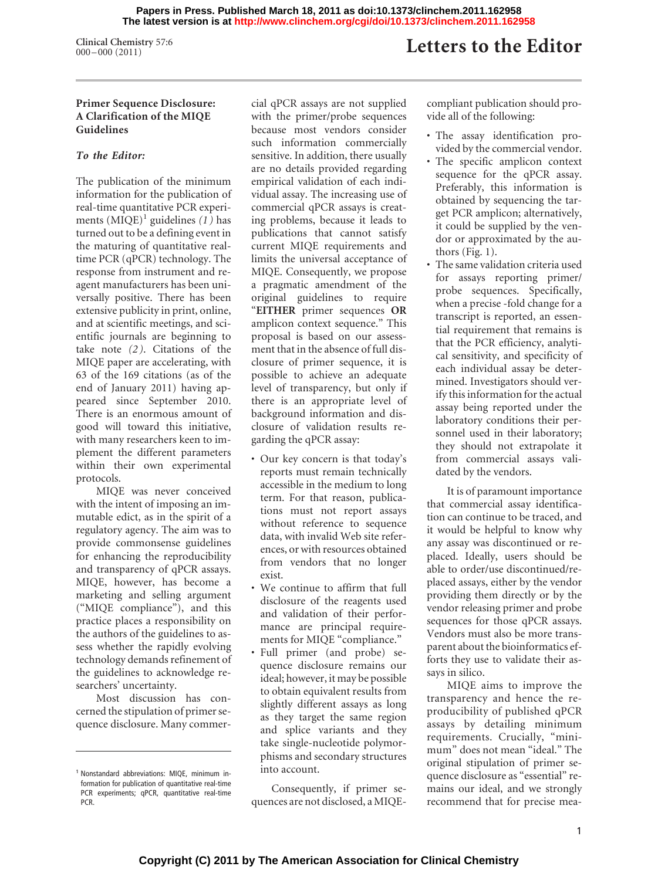**Clinical Chemistry** 57:6<br>000-000 (2011)

# Letters to the Editor

## **Primer Sequence Disclosure: A Clarification of the MIQE Guidelines**

## *To the Editor:*

The publication of the minimum information for the publication of real-time quantitative PCR experiments  $(MIQE)^1$  guidelines (1) has turned out to be a defining event in the maturing of quantitative realtime PCR (qPCR) technology. The response from instrument and reagent manufacturers has been universally positive. There has been extensive publicity in print, online, and at scientific meetings, and scientific journals are beginning to take note *(2 )*. Citations of the MIQE paper are accelerating, with 63 of the 169 citations (as of the end of January 2011) having appeared since September 2010. There is an enormous amount of good will toward this initiative, with many researchers keen to implement the different parameters within their own experimental protocols.

MIQE was never conceived with the intent of imposing an immutable edict, as in the spirit of a regulatory agency. The aim was to provide commonsense guidelines for enhancing the reproducibility and transparency of qPCR assays. MIQE, however, has become a marketing and selling argument ("MIQE compliance"), and this practice places a responsibility on the authors of the guidelines to assess whether the rapidly evolving technology demands refinement of the guidelines to acknowledge researchers' uncertainty.

Most discussion has concerned the stipulation of primer sequence disclosure. Many commercial qPCR assays are not supplied with the primer/probe sequences because most vendors consider such information commercially sensitive. In addition, there usually are no details provided regarding empirical validation of each individual assay. The increasing use of commercial qPCR assays is creating problems, because it leads to publications that cannot satisfy current MIQE requirements and limits the universal acceptance of MIQE. Consequently, we propose a pragmatic amendment of the original guidelines to require "**EITHER** primer sequences **OR** amplicon context sequence." This proposal is based on our assessment that in the absence of full disclosure of primer sequence, it is possible to achieve an adequate level of transparency, but only if there is an appropriate level of background information and disclosure of validation results regarding the qPCR assay:

- Our key concern is that today's reports must remain technically accessible in the medium to long term. For that reason, publications must not report assays without reference to sequence data, with invalid Web site references, or with resources obtained from vendors that no longer exist.
- We continue to affirm that full disclosure of the reagents used and validation of their performance are principal requirements for MIQE "compliance."
- Full primer (and probe) sequence disclosure remains our ideal; however, it may be possible to obtain equivalent results from slightly different assays as long as they target the same region and splice variants and they take single-nucleotide polymorphisms and secondary structures into account.

Consequently, if primer sequences are not disclosed, a MIQE- compliant publication should provide all of the following:

- The assay identification provided by the commercial vendor.
- The specific amplicon context sequence for the qPCR assay. Preferably, this information is obtained by sequencing the target PCR amplicon; alternatively, it could be supplied by the vendor or approximated by the authors (Fig. 1).
- The same validation criteria used for assays reporting primer/ probe sequences. Specifically, when a precise -fold change for a transcript is reported, an essential requirement that remains is that the PCR efficiency, analytical sensitivity, and specificity of each individual assay be determined. Investigators should verify this information for the actual assay being reported under the laboratory conditions their personnel used in their laboratory; they should not extrapolate it from commercial assays validated by the vendors.

It is of paramount importance that commercial assay identification can continue to be traced, and it would be helpful to know why any assay was discontinued or replaced. Ideally, users should be able to order/use discontinued/replaced assays, either by the vendor providing them directly or by the vendor releasing primer and probe sequences for those qPCR assays. Vendors must also be more transparent about the bioinformatics efforts they use to validate their assays in silico.

MIQE aims to improve the transparency and hence the reproducibility of published qPCR assays by detailing minimum requirements. Crucially, "minimum" does not mean "ideal." The original stipulation of primer sequence disclosure as "essential" remains our ideal, and we strongly recommend that for precise mea-

<sup>1</sup> Nonstandard abbreviations: MIQE, minimum information for publication of quantitative real-time PCR experiments; qPCR, quantitative real-time PCR.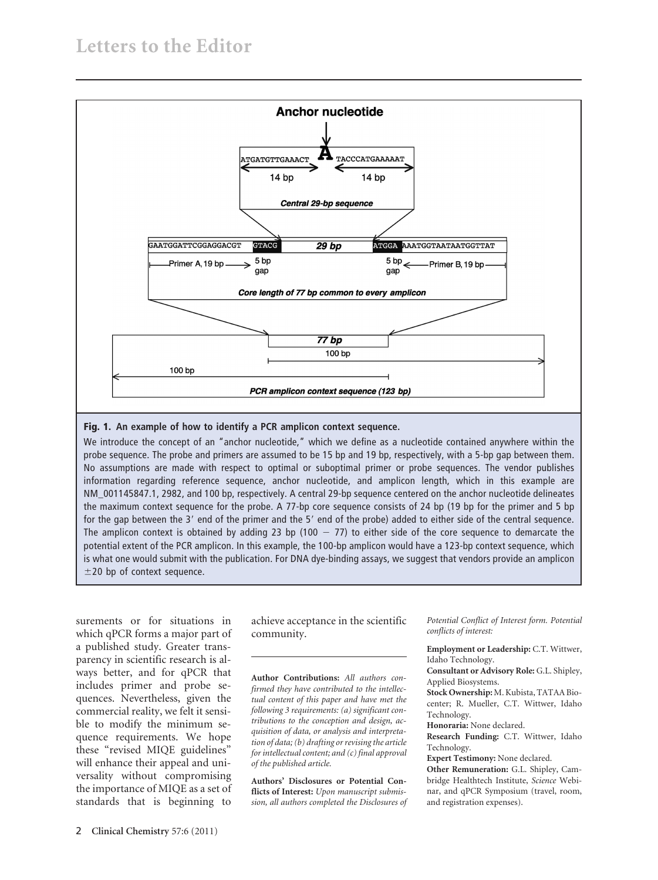

### **Fig. 1. An example of how to identify a PCR amplicon context sequence.**

We introduce the concept of an "anchor nucleotide," which we define as a nucleotide contained anywhere within the probe sequence. The probe and primers are assumed to be 15 bp and 19 bp, respectively, with a 5-bp gap between them. No assumptions are made with respect to optimal or suboptimal primer or probe sequences. The vendor publishes information regarding reference sequence, anchor nucleotide, and amplicon length, which in this example are NM\_001145847.1, 2982, and 100 bp, respectively. A central 29-bp sequence centered on the anchor nucleotide delineates the maximum context sequence for the probe. A 77-bp core sequence consists of 24 bp (19 bp for the primer and 5 bp for the gap between the 3' end of the primer and the 5' end of the probe) added to either side of the central sequence. The amplicon context is obtained by adding 23 bp (100  $-$  77) to either side of the core sequence to demarcate the potential extent of the PCR amplicon. In this example, the 100-bp amplicon would have a 123-bp context sequence, which is what one would submit with the publication. For DNA dye-binding assays, we suggest that vendors provide an amplicon  $\pm$ 20 bp of context sequence.

surements or for situations in which qPCR forms a major part of a published study. Greater transparency in scientific research is always better, and for qPCR that includes primer and probe sequences. Nevertheless, given the commercial reality, we felt it sensible to modify the minimum sequence requirements. We hope these "revised MIQE guidelines" will enhance their appeal and universality without compromising the importance of MIQE as a set of standards that is beginning to

achieve acceptance in the scientific community.

**Author Contributions:** *All authors confirmed they have contributed to the intellectual content of this paper and have met the following 3 requirements: (a) significant contributions to the conception and design, acquisition of data, or analysis and interpretation of data; (b) drafting or revising the article for intellectual content; and (c) final approval of the published article.*

**Authors' Disclosures or Potential Conflicts of Interest:** *Upon manuscript submission, all authors completed the Disclosures of*

*Potential Conflict of Interest form. Potential conflicts of interest:*

**Employment or Leadership:** C.T. Wittwer, Idaho Technology.

**Consultant or Advisory Role:** G.L. Shipley, Applied Biosystems.

**Stock Ownership:** M. Kubista, TATAA Biocenter; R. Mueller, C.T. Wittwer, Idaho Technology.

**Honoraria:** None declared.

**Research Funding:** C.T. Wittwer, Idaho Technology.

**Expert Testimony:** None declared.

**Other Remuneration:** G.L. Shipley, Cambridge Healthtech Institute, *Science* Webinar, and qPCR Symposium (travel, room, and registration expenses).